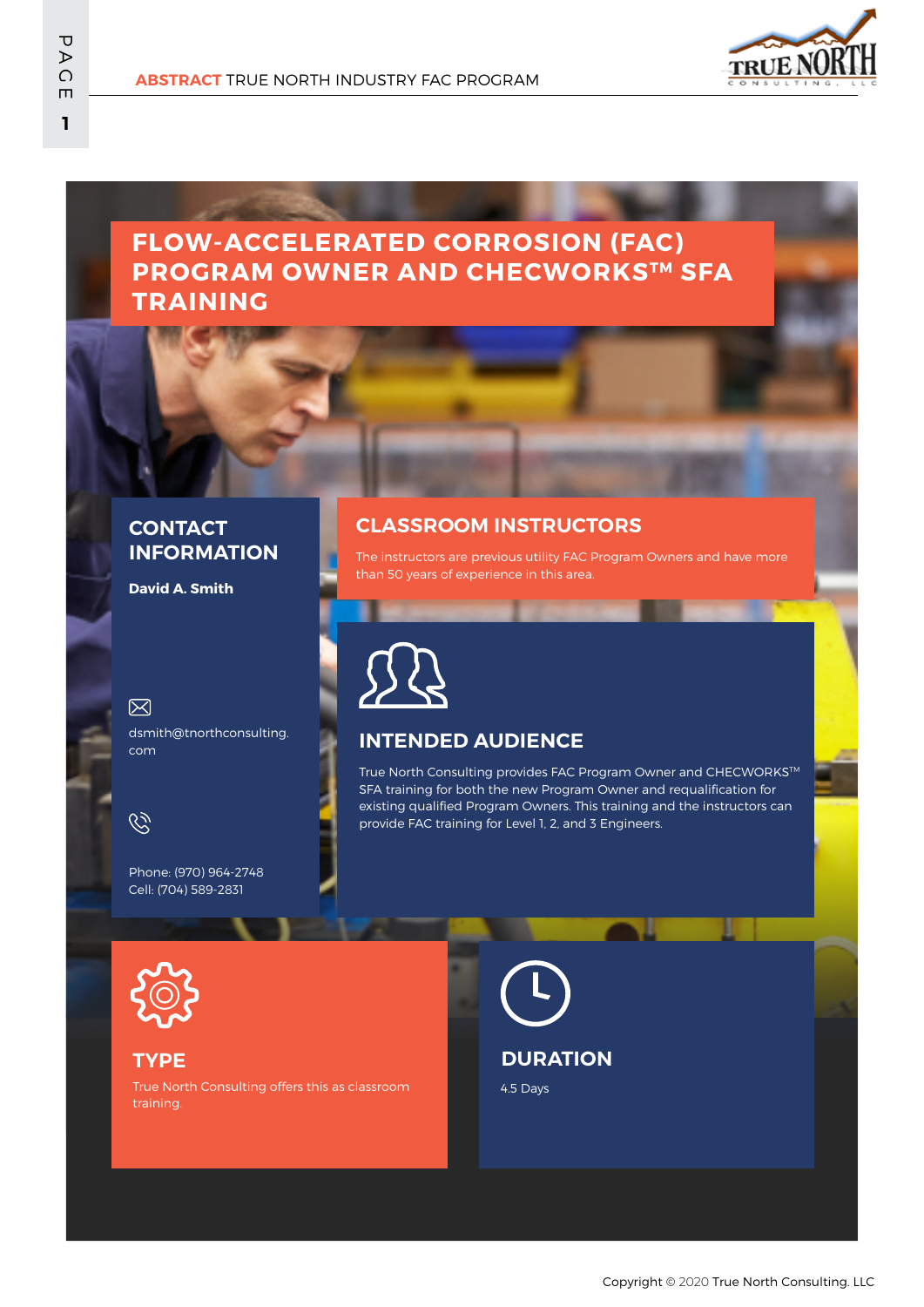

# **FLOW-ACCELERATED CORROSION (FAC) PROGRAM OWNER AND CHECWORKS™ SFA TRAINING**

#### **CONTACT INFORMATION**

**David A. Smith**

冈

dsmith@tnorthconsulting. com



Phone: (970) 964-2748 Cell: (704) 589-2831

#### **CLASSROOM INSTRUCTORS**

The instructors are previous utility FAC Program Owners and have more than 50 years of experience in this area.



### **INTENDED AUDIENCE**

True North Consulting provides FAC Program Owner and CHECWORKS™ SFA training for both the new Program Owner and requalification for existing qualified Program Owners. This training and the instructors can provide FAC training for Level 1, 2, and 3 Engineers.



#### **TYPE**

True North Consulting offers this as classroom training.

## **DURATION**

4.5 Days